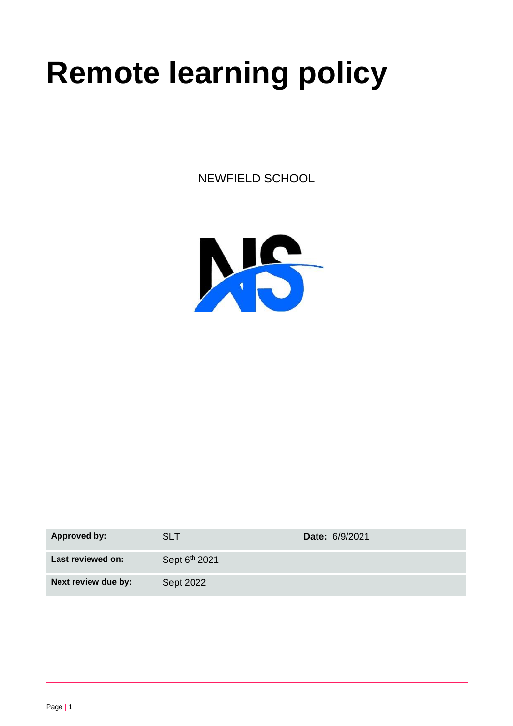# **Remote learning policy**

NEWFIELD SCHOOL



| <b>Approved by:</b> | SLT                       | <b>Date: 6/9/2021</b> |
|---------------------|---------------------------|-----------------------|
| Last reviewed on:   | Sept 6 <sup>th</sup> 2021 |                       |
| Next review due by: | Sept 2022                 |                       |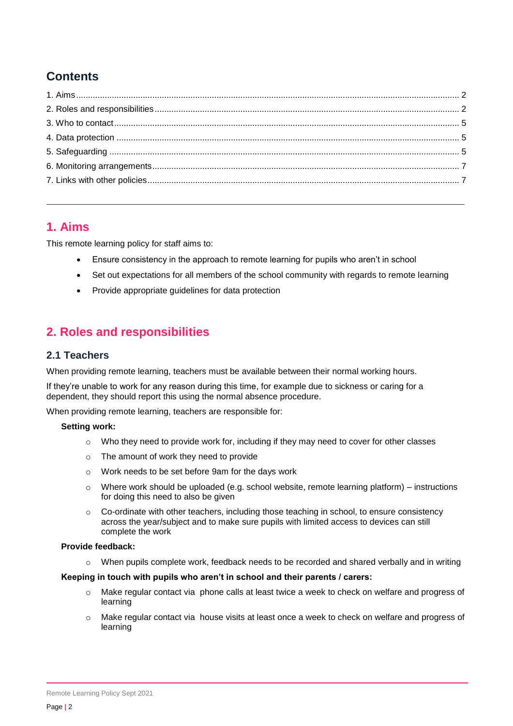# **Contents**

# <span id="page-1-0"></span>**1. Aims**

This remote learning policy for staff aims to:

- Ensure consistency in the approach to remote learning for pupils who aren't in school
- Set out expectations for all members of the school community with regards to remote learning
- Provide appropriate guidelines for data protection

# <span id="page-1-1"></span>**2. Roles and responsibilities**

## **2.1 Teachers**

When providing remote learning, teachers must be available between their normal working hours.

If they're unable to work for any reason during this time, for example due to sickness or caring for a dependent, they should report this using the normal absence procedure.

When providing remote learning, teachers are responsible for:

#### **Setting work:**

- $\circ$  Who they need to provide work for, including if they may need to cover for other classes
- o The amount of work they need to provide
- o Work needs to be set before 9am for the days work
- $\circ$  Where work should be uploaded (e.g. school website, remote learning platform) instructions for doing this need to also be given
- $\circ$  Co-ordinate with other teachers, including those teaching in school, to ensure consistency across the year/subject and to make sure pupils with limited access to devices can still complete the work

#### **Provide feedback:**

 $\circ$  When pupils complete work, feedback needs to be recorded and shared verbally and in writing

#### **Keeping in touch with pupils who aren't in school and their parents / carers:**

- $\circ$  Make regular contact via phone calls at least twice a week to check on welfare and progress of learning
- o Make regular contact via house visits at least once a week to check on welfare and progress of learning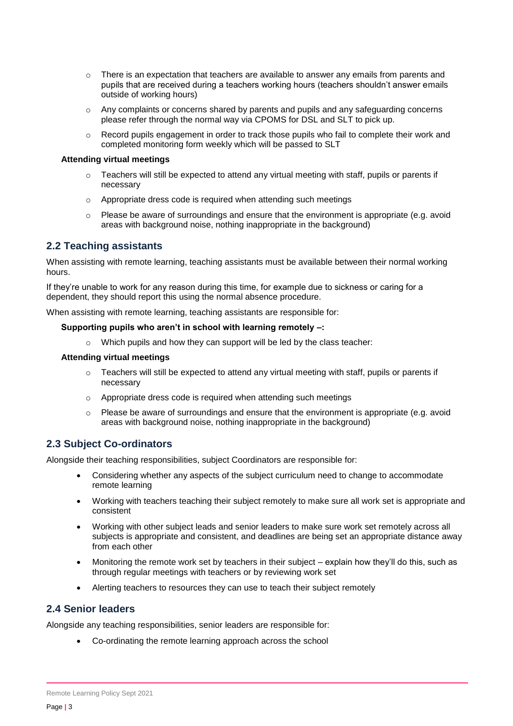- $\circ$  There is an expectation that teachers are available to answer any emails from parents and pupils that are received during a teachers working hours (teachers shouldn't answer emails outside of working hours)
- $\circ$  Any complaints or concerns shared by parents and pupils and any safeguarding concerns please refer through the normal way via CPOMS for DSL and SLT to pick up.
- o Record pupils engagement in order to track those pupils who fail to complete their work and completed monitoring form weekly which will be passed to SLT

#### **Attending virtual meetings**

- o Teachers will still be expected to attend any virtual meeting with staff, pupils or parents if necessary
- o Appropriate dress code is required when attending such meetings
- $\circ$  Please be aware of surroundings and ensure that the environment is appropriate (e.g. avoid areas with background noise, nothing inappropriate in the background)

## **2.2 Teaching assistants**

When assisting with remote learning, teaching assistants must be available between their normal working hours.

If they're unable to work for any reason during this time, for example due to sickness or caring for a dependent, they should report this using the normal absence procedure.

When assisting with remote learning, teaching assistants are responsible for:

#### **Supporting pupils who aren't in school with learning remotely –:**

o Which pupils and how they can support will be led by the class teacher:

#### **Attending virtual meetings**

- $\circ$  Teachers will still be expected to attend any virtual meeting with staff, pupils or parents if necessary
- o Appropriate dress code is required when attending such meetings
- $\circ$  Please be aware of surroundings and ensure that the environment is appropriate (e.g. avoid areas with background noise, nothing inappropriate in the background)

#### **2.3 Subject Co-ordinators**

Alongside their teaching responsibilities, subject Coordinators are responsible for:

- Considering whether any aspects of the subject curriculum need to change to accommodate remote learning
- Working with teachers teaching their subject remotely to make sure all work set is appropriate and consistent
- Working with other subject leads and senior leaders to make sure work set remotely across all subjects is appropriate and consistent, and deadlines are being set an appropriate distance away from each other
- Monitoring the remote work set by teachers in their subject explain how they'll do this, such as through regular meetings with teachers or by reviewing work set
- Alerting teachers to resources they can use to teach their subject remotely

#### **2.4 Senior leaders**

Alongside any teaching responsibilities, senior leaders are responsible for:

Co-ordinating the remote learning approach across the school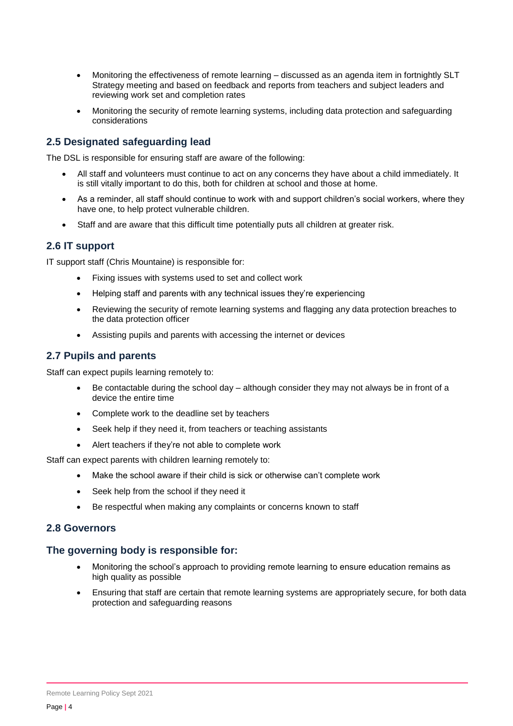- Monitoring the effectiveness of remote learning discussed as an agenda item in fortnightly SLT Strategy meeting and based on feedback and reports from teachers and subject leaders and reviewing work set and completion rates
- Monitoring the security of remote learning systems, including data protection and safeguarding considerations

## **2.5 Designated safeguarding lead**

The DSL is responsible for ensuring staff are aware of the following:

- All staff and volunteers must continue to act on any concerns they have about a child immediately. It is still vitally important to do this, both for children at school and those at home.
- As a reminder, all staff should continue to work with and support children's social workers, where they have one, to help protect vulnerable children.
- Staff and are aware that this difficult time potentially puts all children at greater risk.

## **2.6 IT support**

IT support staff (Chris Mountaine) is responsible for:

- Fixing issues with systems used to set and collect work
- Helping staff and parents with any technical issues they're experiencing
- Reviewing the security of remote learning systems and flagging any data protection breaches to the data protection officer
- Assisting pupils and parents with accessing the internet or devices

## **2.7 Pupils and parents**

Staff can expect pupils learning remotely to:

- Be contactable during the school day although consider they may not always be in front of a device the entire time
- Complete work to the deadline set by teachers
- Seek help if they need it, from teachers or teaching assistants
- Alert teachers if they're not able to complete work

Staff can expect parents with children learning remotely to:

- Make the school aware if their child is sick or otherwise can't complete work
- Seek help from the school if they need it
- Be respectful when making any complaints or concerns known to staff

#### **2.8 Governors**

#### **The governing body is responsible for:**

- Monitoring the school's approach to providing remote learning to ensure education remains as high quality as possible
- <span id="page-3-0"></span> Ensuring that staff are certain that remote learning systems are appropriately secure, for both data protection and safeguarding reasons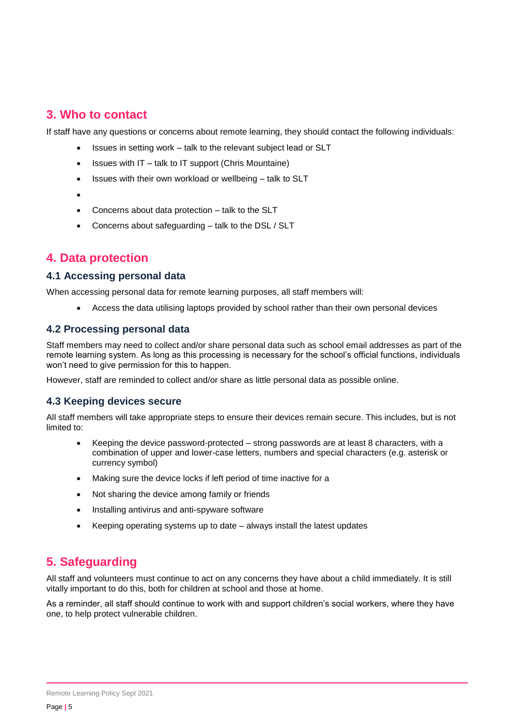## **3. Who to contact**

If staff have any questions or concerns about remote learning, they should contact the following individuals:

- Issues in setting work talk to the relevant subject lead or SLT
- $\bullet$  Issues with IT talk to IT support (Chris Mountaine)
- Issues with their own workload or wellbeing talk to SLT
- $\bullet$
- Concerns about data protection talk to the SLT
- Concerns about safeguarding talk to the DSL / SLT

# <span id="page-4-0"></span>**4. Data protection**

## **4.1 Accessing personal data**

When accessing personal data for remote learning purposes, all staff members will:

Access the data utilising laptops provided by school rather than their own personal devices

#### **4.2 Processing personal data**

Staff members may need to collect and/or share personal data such as school email addresses as part of the remote learning system. As long as this processing is necessary for the school's official functions, individuals won't need to give permission for this to happen.

However, staff are reminded to collect and/or share as little personal data as possible online.

#### **4.3 Keeping devices secure**

All staff members will take appropriate steps to ensure their devices remain secure. This includes, but is not limited to:

- Keeping the device password-protected strong passwords are at least 8 characters, with a combination of upper and lower-case letters, numbers and special characters (e.g. asterisk or currency symbol)
- Making sure the device locks if left period of time inactive for a
- Not sharing the device among family or friends
- Installing antivirus and anti-spyware software
- Keeping operating systems up to date always install the latest updates

# <span id="page-4-1"></span>**5. Safeguarding**

All staff and volunteers must continue to act on any concerns they have about a child immediately. It is still vitally important to do this, both for children at school and those at home.

As a reminder, all staff should continue to work with and support children's social workers, where they have one, to help protect vulnerable children.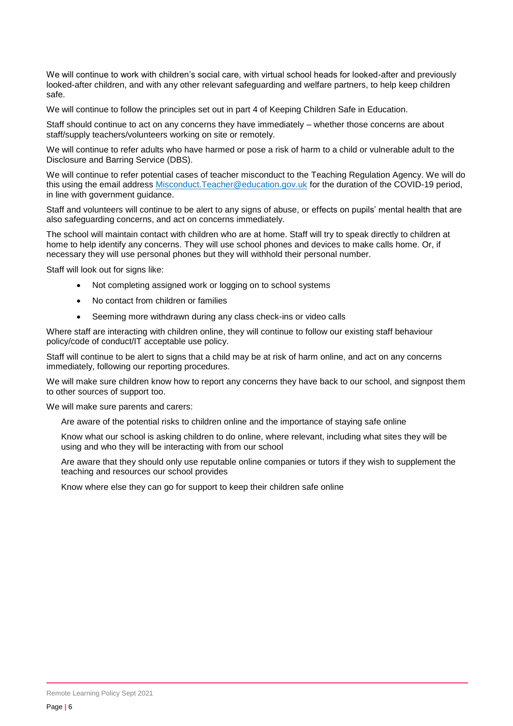We will continue to work with children's social care, with virtual school heads for looked-after and previously looked-after children, and with any other relevant safeguarding and welfare partners, to help keep children safe.

We will continue to follow the principles set out in part 4 of Keeping Children Safe in Education.

Staff should continue to act on any concerns they have immediately – whether those concerns are about staff/supply teachers/volunteers working on site or remotely.

We will continue to refer adults who have harmed or pose a risk of harm to a child or vulnerable adult to the Disclosure and Barring Service (DBS).

We will continue to refer potential cases of teacher misconduct to the Teaching Regulation Agency. We will do this using the email address [Misconduct.Teacher@education.gov.uk](mailto:Misconduct.Teacher@education.gov.uk) for the duration of the COVID-19 period, in line with government guidance.

Staff and volunteers will continue to be alert to any signs of abuse, or effects on pupils' mental health that are also safeguarding concerns, and act on concerns immediately.

The school will maintain contact with children who are at home. Staff will try to speak directly to children at home to help identify any concerns. They will use school phones and devices to make calls home. Or, if necessary they will use personal phones but they will withhold their personal number.

Staff will look out for signs like:

- Not completing assigned work or logging on to school systems
- No contact from children or families
- Seeming more withdrawn during any class check-ins or video calls

Where staff are interacting with children online, they will continue to follow our existing staff behaviour policy/code of conduct/IT acceptable use policy.

Staff will continue to be alert to signs that a child may be at risk of harm online, and act on any concerns immediately, following our reporting procedures.

We will make sure children know how to report any concerns they have back to our school, and signpost them to other sources of support too.

We will make sure parents and carers:

Are aware of the potential risks to children online and the importance of staying safe online

Know what our school is asking children to do online, where relevant, including what sites they will be using and who they will be interacting with from our school

Are aware that they should only use reputable online companies or tutors if they wish to supplement the teaching and resources our school provides

Know where else they can go for support to keep their children safe online